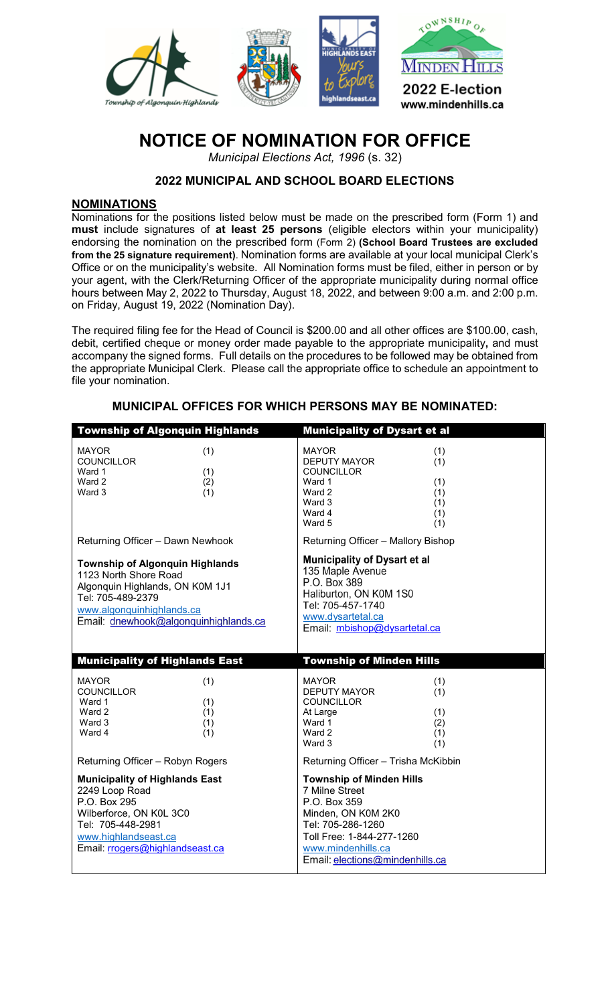

# **NOTICE OF NOMINATION FOR OFFICE**

*Municipal Elections Act, 1996* (s. 32)

### **2022 MUNICIPAL AND SCHOOL BOARD ELECTIONS**

#### **NOMINATIONS**

Nominations for the positions listed below must be made on the prescribed form (Form 1) and **must** include signatures of **at least 25 persons** (eligible electors within your municipality) endorsing the nomination on the prescribed form (Form 2) **(School Board Trustees are excluded from the 25 signature requirement)**. Nomination forms are available at your local municipal Clerk's Office or on the municipality's website. All Nomination forms must be filed, either in person or by your agent, with the Clerk/Returning Officer of the appropriate municipality during normal office hours between May 2, 2022 to Thursday, August 18, 2022, and between 9:00 a.m. and 2:00 p.m. on Friday, August 19, 2022 (Nomination Day).

The required filing fee for the Head of Council is \$200.00 and all other offices are \$100.00, cash, debit, certified cheque or money order made payable to the appropriate municipality**,** and must accompany the signed forms. Full details on the procedures to be followed may be obtained from the appropriate Municipal Clerk. Please call the appropriate office to schedule an appointment to file your nomination.

| <b>Township of Algonquin Highlands</b>                                                                                                                                                        | <b>Municipality of Dysart et al</b>                                                                                                                                         |
|-----------------------------------------------------------------------------------------------------------------------------------------------------------------------------------------------|-----------------------------------------------------------------------------------------------------------------------------------------------------------------------------|
| <b>MAYOR</b><br>(1)<br><b>COUNCILLOR</b><br>(1)<br>Ward 1<br>Ward 2<br>(2)<br>(1)<br>Ward 3                                                                                                   | <b>MAYOR</b><br>(1)<br><b>DEPUTY MAYOR</b><br>(1)<br><b>COUNCILLOR</b><br>Ward 1<br>(1)<br>Ward 2<br>(1)<br>Ward 3<br>(1)<br>Ward 4<br>(1)<br>Ward 5<br>(1)                 |
| Returning Officer - Dawn Newhook                                                                                                                                                              | Returning Officer - Mallory Bishop                                                                                                                                          |
| <b>Township of Algonquin Highlands</b><br>1123 North Shore Road<br>Algonquin Highlands, ON K0M 1J1<br>Tel: 705-489-2379<br>www.algonquinhighlands.ca<br>Email: dnewhook@algonquinhighlands.ca | <b>Municipality of Dysart et al</b><br>135 Maple Avenue<br>P.O. Box 389<br>Haliburton, ON K0M 1S0<br>Tel: 705-457-1740<br>www.dysartetal.ca<br>Email: mbishop@dysartetal.ca |
|                                                                                                                                                                                               |                                                                                                                                                                             |
| <b>Municipality of Highlands East</b>                                                                                                                                                         | <b>Township of Minden Hills</b>                                                                                                                                             |
| <b>MAYOR</b><br>(1)<br><b>COUNCILLOR</b><br>(1)<br>Ward 1<br>Ward 2<br>(1)<br>Ward 3<br>(1)<br>Ward 4<br>(1)                                                                                  | <b>MAYOR</b><br>(1)<br><b>DEPUTY MAYOR</b><br>(1)<br><b>COUNCILLOR</b><br>At Large<br>(1)<br>Ward 1<br>(2)<br>Ward 2<br>(1)<br>Ward 3<br>(1)                                |
| Returning Officer - Robyn Rogers                                                                                                                                                              | Returning Officer - Trisha McKibbin                                                                                                                                         |

#### **MUNICIPAL OFFICES FOR WHICH PERSONS MAY BE NOMINATED:**